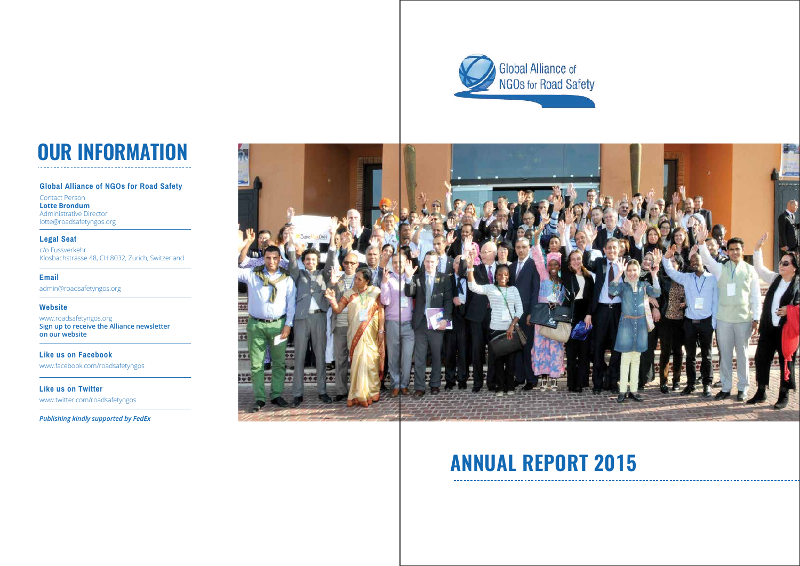**Email**

admin@roadsafetyngos.org

**Like us on Facebook** www.facebook.com/roadsafetyngos

**Like us on Twitter** www.twitter.com/roadsafetyngos

#### **Website**

www.roadsafetyngos.org **Sign up to receive the Alliance newsletter on our website**

*Publishing kindly supported by FedEx*



# **ANNUAL REPORT 2015**

#### **Global Alliance of NGOs for Road Safety**

Contact Person **Lotte Brondum** Administrative Director lotte@roadsafetyngos.org

### **Legal Seat**

c/o Fussverkehr Klosbachstrasse 48, CH 8032, Zurich, Switzerland



# **OUR INFORMATION**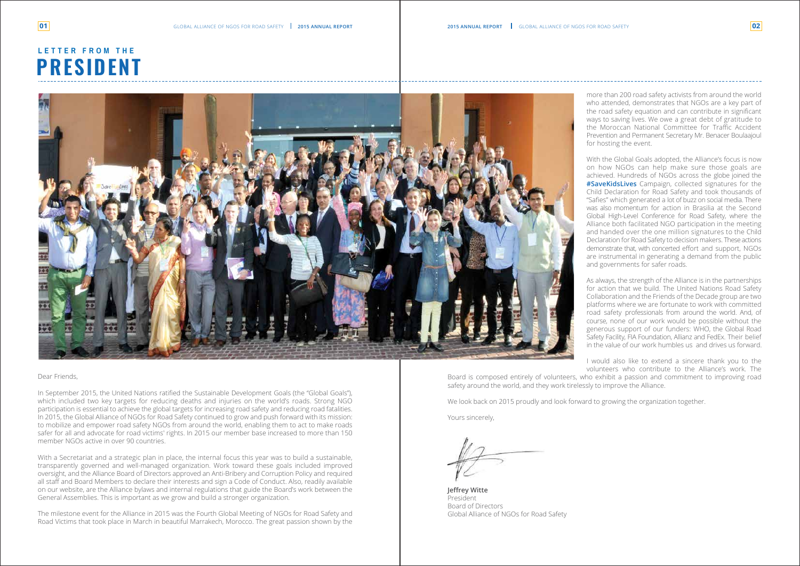#### Dear Friends,

In September 2015, the United Nations ratified the Sustainable Development Goals (the "Global Goals"), which included two key targets for reducing deaths and injuries on the world's roads. Strong NGO participation is essential to achieve the global targets for increasing road safety and reducing road fatalities. In 2015, the Global Alliance of NGOs for Road Safety continued to grow and push forward with its mission: to mobilize and empower road safety NGOs from around the world, enabling them to act to make roads safer for all and advocate for road victims' rights. In 2015 our member base increased to more than 150 member NGOs active in over 90 countries.

With a Secretariat and a strategic plan in place, the internal focus this year was to build a sustainable, transparently governed and well-managed organization. Work toward these goals included improved oversight, and the Alliance Board of Directors approved an Anti-Bribery and Corruption Policy and required all staff and Board Members to declare their interests and sign a Code of Conduct. Also, readily available on our website, are the Alliance bylaws and internal regulations that guide the Board's work between the General Assemblies. This is important as we grow and build a stronger organization.

The milestone event for the Alliance in 2015 was the Fourth Global Meeting of NGOs for Road Safety and Road Victims that took place in March in beautiful Marrakech, Morocco. The great passion shown by the

# **PRESIDENT LETTER FROM THE**



more than 200 road safety activists from around the world who attended, demonstrates that NGOs are a key part of the road safety equation and can contribute in significant ways to saving lives. We owe a great debt of gratitude to the Moroccan National Committee for Traffic Accident Prevention and Permanent Secretary Mr. Benacer Boulaajoul for hosting the event.

With the Global Goals adopted, the Alliance's focus is now on how NGOs can help make sure those goals are achieved. Hundreds of NGOs across the globe joined the **#SaveKidsLives** Campaign, collected signatures for the Child Declaration for Road Safety and took thousands of "Safies" which generated a lot of buzz on social media. There was also momentum for action in Brasilia at the Second Global High-Level Conference for Road Safety, where the Alliance both facilitated NGO participation in the meeting and handed over the one million signatures to the Child Declaration for Road Safety to decision makers. These actions demonstrate that, with concerted effort and support, NGOs are instrumental in generating a demand from the public and governments for safer roads.

As always, the strength of the Alliance is in the partnerships for action that we build. The United Nations Road Safety Collaboration and the Friends of the Decade group are two platforms where we are fortunate to work with committed road safety professionals from around the world. And, of course, none of our work would be possible without the generous support of our funders: WHO, the Global Road Safety Facility, FIA Foundation, Allianz and FedEx. Their belief in the value of our work humbles us and drives us forward.

I would also like to extend a sincere thank you to the volunteers who contribute to the Alliance's work. The Board is composed entirely of volunteers, who exhibit a passion and commitment to improving road safety around the world, and they work tirelessly to improve the Alliance.

We look back on 2015 proudly and look forward to growing the organization together.

Yours sincerely,

**Jeffrey Witte** President Board of Directors Global Alliance of NGOs for Road Safety

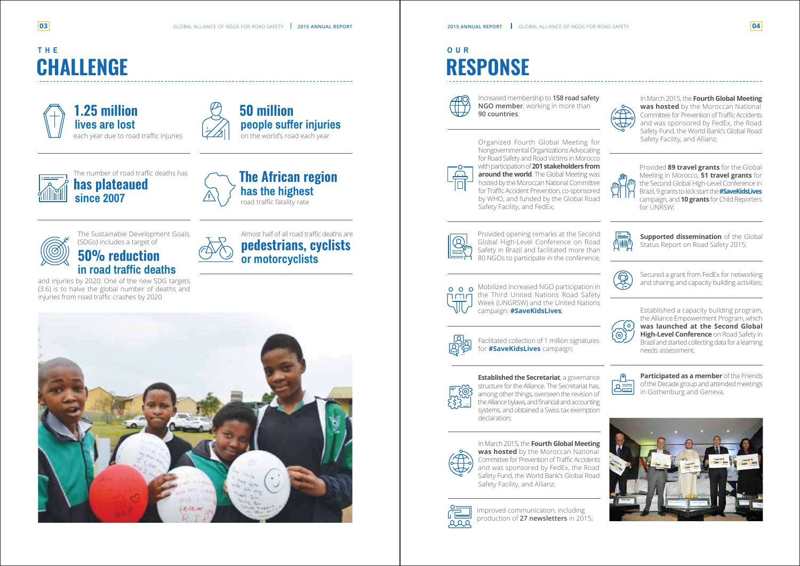# **RESPONSE OUR**



# **CHALLENGE THE**



**1.25 million lives are lost** each year due to road traffic injuries



### **50 million people suffer injuries** on the world's road each year



**has plateaued since 2007**



road traffic fatality rate



# **50% reduction in road traffic deaths**

Organized Fourth Global Meeting for Nongovernmental Organizations Advocating for Road Safety and Road Victims in Morocco with participation of **201 stakeholders from around the world**. The Global Meeting was hosted by the Moroccan National Committee for Traffic Accident Prevention, co-sponsored by WHO, and funded by the Global Road Safety Facility, and FedEx;



The Sustainable Development Goals (SDGs) includes a target of

and injuries by 2020. One of the new SDG targets (3.6) is to halve the global number of deaths and injuries from road traffic crashes by 2020



**pedestrians, cyclists or motorcyclists** Almost half of all road traffic deaths are



Increased membership to **158 road safety NGO member**, working in more than **90 countries**;



**Supported dissemination** of the Global Status Report on Road Safety 2015;



Facilitated collection of 1 million signatures for **#SaveKidsLives** campaign;



Provided **89 travel grants** for the Global Meeting in Morocco, **51 travel grants** for the Second Global High-Level Conference in Brazil, 9 grants to kick start the**#SaveKidsLives** campaign, and **10 grants** for Child Reporters for UNRSW:



**Established the Secretariat**, a governance structure for the Alliance. The Secretariat has, among other things, overseen the revision of the Alliance bylaws, and financial and accounting systems, and obtained a Swiss tax exemption declaration;



o o o Mobilized increased NGO participation in the Third United Nations Road Safety Week (UNGRSW) and the United Nations campaign: **#SaveKidsLives**;



Secured a grant from FedEx for networking and sharing and capacity building activities;



Established a capacity building program, the Alliance Empowerment Program, which **was launched at the Second Global High-Level Conference** on Road Safety in Brazil and started collecting data for a learning needs assessment;



**Participated as a member** of the Friends of the Decade group and attended meetings in Gothenburg and Geneva.



Improved communication, including production of **27 newsletters** in 2015;





In March 2015, the **Fourth Global Meeting was hosted** by the Moroccan National Committee for Prevention of Traffic Accidents and was sponsored by FedEx, the Road Safety Fund, the World Bank's Global Road Safety Facility, and Allianz;



Provided opening remarks at the Second Global High-Level Conference on Road Safety in Brazil and facilitated more than 80 NGOs to participate in the conference;



In March 2015, the **Fourth Global Meeting was hosted** by the Moroccan National Committee for Prevention of Traffic Accidents and was sponsored by FedEx, the Road Safety Fund, the World Bank's Global Road Safety Facility, and Allianz;

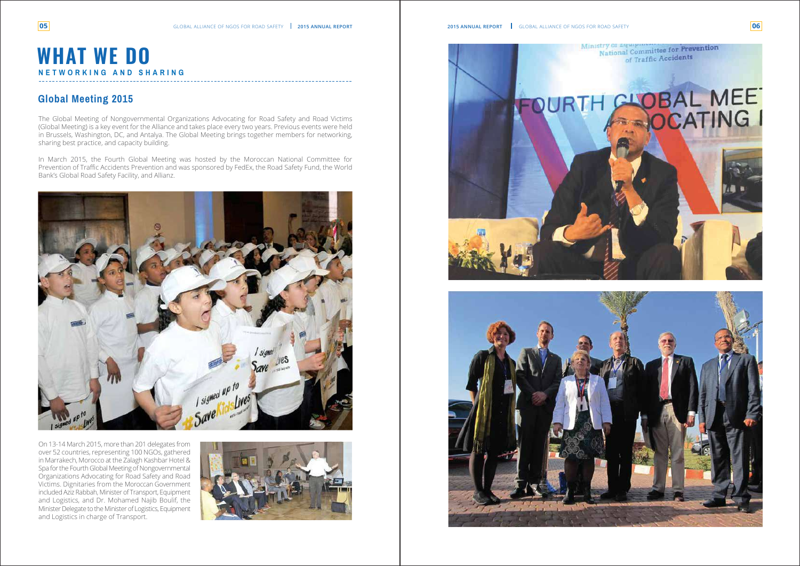The Global Meeting of Nongovernmental Organizations Advocating for Road Safety and Road Victims (Global Meeting) is a key event for the Alliance and takes place every two years. Previous events were held in Brussels, Washington, DC, and Antalya. The Global Meeting brings together members for networking, sharing best practice, and capacity building.

In March 2015, the Fourth Global Meeting was hosted by the Moroccan National Committee for Prevention of Traffic Accidents Prevention and was sponsored by FedEx, the Road Safety Fund, the World Bank's Global Road Safety Facility, and Allianz.



On 13-14 March 2015, more than 201 delegates from over 52 countries, representing 100 NGOs, gathered in Marrakech, Morocco at the Zalagh Kashbar Hotel & Spa for the Fourth Global Meeting of Nongovernmental Organizations Advocating for Road Safety and Road Victims. Dignitaries from the Moroccan Government included Aziz Rabbah, Minister of Transport, Equipment and Logistics, and Dr. Mohamed Najib Boulif, the Minister Delegate to the Minister of Logistics, Equipment and Logistics in charge of Transport.









### **WHAT WE DO NETWORKING AND SHARING**

### **Global Meeting 2015**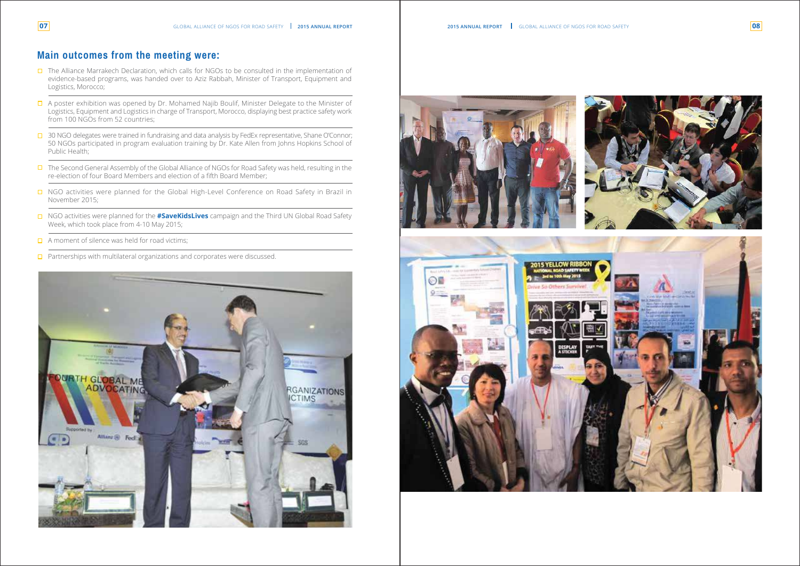### **Main outcomes from the meeting were:**

- $\Box$  The Alliance Marrakech Declaration, which calls for NGOs to be consulted in the implementation of evidence-based programs, was handed over to Aziz Rabbah, Minister of Transport, Equipment and Logistics, Morocco;
- $\Box$  A poster exhibition was opened by Dr. Mohamed Najib Boulif, Minister Delegate to the Minister of Logistics, Equipment and Logistics in charge of Transport, Morocco, displaying best practice safety work from 100 NGOs from 52 countries;
- □ 30 NGO delegates were trained in fundraising and data analysis by FedEx representative, Shane O'Connor; 50 NGOs participated in program evaluation training by Dr. Kate Allen from Johns Hopkins School of Public Health;
- □ The Second General Assembly of the Global Alliance of NGOs for Road Safety was held, resulting in the re-election of four Board Members and election of a fifth Board Member;
- □ NGO activities were planned for the Global High-Level Conference on Road Safety in Brazil in November 2015;
- NGO activities were planned for the **#SaveKidsLives** campaign and the Third UN Global Road Safety Week, which took place from 4-10 May 2015;
- $\Box$  A moment of silence was held for road victims;
- **Partnerships with multilateral organizations and corporates were discussed.**









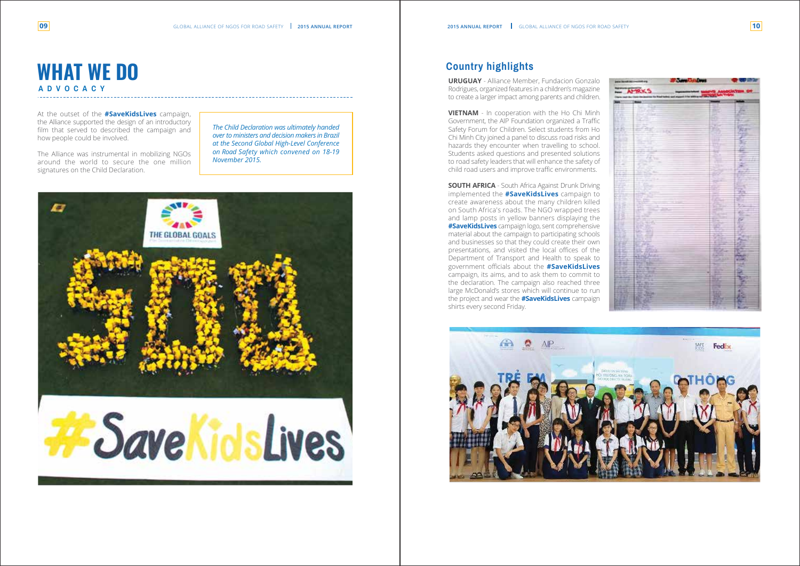At the outset of the **#SaveKidsLives** campaign, the Alliance supported the design of an introductory film that served to described the campaign and how people could be involved.

The Alliance was instrumental in mobilizing NGOs around the world to secure the one million signatures on the Child Declaration.

# **WHAT WE DO ADVOCACY**

*The Child Declaration was ultimately handed over to ministers and decision makers in Brazil at the Second Global High-Level Conference on Road Safety which convened on 18-19 November 2015.* 



# SaveKidsLives

### **Country highlights**

**URUGUAY** - Alliance Member, Fundacion Gonzalo Rodrigues, organized features in a children's magazine to create a larger impact among parents and children.

**SOUTH AFRICA** - South Africa Against Drunk Driving implemented the **#SaveKidsLive s** campaign to create awareness about the many children killed on South Africa's roads. The NGO wrapped trees and lamp posts in yellow banners displaying the **#SaveKidsLives** campaign logo, sent comprehensive material about the campaign to participating schools and businesses so that they could create their own presentations, and visited the local offices of the Department of Transport and Health to speak to government officials about the **#SaveKidsLives**  campaign, its aims, and to ask them to commit to the declaration. The campaign also reached three large McDonald's stores which will continue to run the project and wear the **#SaveKidsLives** campaign shirts every second Friday.





| per bod in cold of |                             |    |                                   |
|--------------------|-----------------------------|----|-----------------------------------|
|                    |                             |    |                                   |
|                    | parts 10 kg talking me told |    |                                   |
|                    |                             |    |                                   |
|                    |                             |    |                                   |
|                    |                             |    |                                   |
|                    |                             |    |                                   |
|                    |                             |    |                                   |
|                    |                             |    |                                   |
|                    |                             |    |                                   |
|                    |                             |    |                                   |
|                    | <b>The</b>                  |    |                                   |
|                    |                             |    |                                   |
|                    |                             |    |                                   |
|                    |                             |    |                                   |
|                    |                             |    |                                   |
|                    |                             |    |                                   |
|                    |                             |    | <b>化学方法 "大小三大的人也不能会在我们的感觉的事。"</b> |
|                    |                             |    |                                   |
|                    |                             |    |                                   |
|                    |                             |    |                                   |
|                    |                             |    |                                   |
|                    |                             |    |                                   |
|                    |                             |    |                                   |
|                    |                             |    |                                   |
|                    |                             |    |                                   |
|                    |                             |    |                                   |
|                    |                             |    |                                   |
|                    |                             |    |                                   |
|                    |                             |    |                                   |
|                    |                             |    |                                   |
|                    |                             |    |                                   |
|                    |                             |    |                                   |
|                    |                             |    |                                   |
|                    |                             |    |                                   |
|                    |                             |    |                                   |
|                    |                             |    |                                   |
|                    |                             |    |                                   |
|                    |                             |    |                                   |
|                    |                             |    |                                   |
|                    |                             |    |                                   |
|                    |                             |    |                                   |
|                    |                             |    |                                   |
|                    |                             |    |                                   |
|                    |                             |    |                                   |
|                    |                             |    |                                   |
|                    |                             |    |                                   |
|                    |                             |    |                                   |
|                    |                             |    |                                   |
|                    |                             |    |                                   |
|                    |                             | Ě  |                                   |
|                    |                             |    |                                   |
| 뺐                  |                             |    |                                   |
|                    |                             |    |                                   |
|                    |                             |    |                                   |
| P                  |                             | P. | 天空                                |
|                    |                             |    |                                   |
|                    |                             |    |                                   |
|                    |                             |    |                                   |
|                    |                             |    |                                   |
|                    |                             |    |                                   |

**VIETNAM** - In cooperation with the Ho Chi Minh Government, the AIP Foundation organized a Traffic Safety Forum for Children. Select students from Ho Chi Minh City joined a panel to discuss road risks and hazards they encounter when travelling to school. Students asked questions and presented solutions to road safety leaders that will enhance the safety of child road users and improve traffic environments.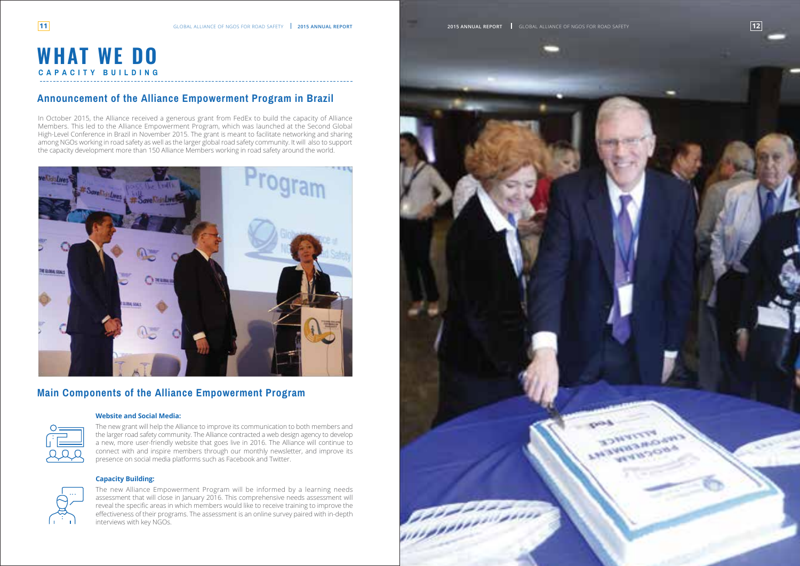

### **Announcement of the Alliance Empowerment Program in Brazil**

### **Main Components of the Alliance Empowerment Program**

# **WHAT WE DO CAPACITY BUILDING**

In October 2015, the Alliance received a generous grant from FedEx to build the capacity of Alliance Members. This led to the Alliance Empowerment Program, which was launched at the Second Global High-Level Conference in Brazil in November 2015. The grant is meant to facilitate networking and sharing among NGOs working in road safety as well as the larger global road safety community. It will also to support the capacity development more than 150 Alliance Members working in road safety around the world.



#### **Website and Social Media:**



The new grant will help the Alliance to improve its communication to both members and the larger road safety community. The Alliance contracted a web design agency to develop a new, more user-friendly website that goes live in 2016. The Alliance will continue to connect with and inspire members through our monthly newsletter, and improve its presence on social media platforms such as Facebook and Twitter.



#### **Capacity Building:**

The new Alliance Empowerment Program will be informed by a learning needs assessment that will close in January 2016. This comprehensive needs assessment will reveal the specific areas in which members would like to receive training to improve the effectiveness of their programs. The assessment is an online survey paired with in-depth interviews with key NGOs.

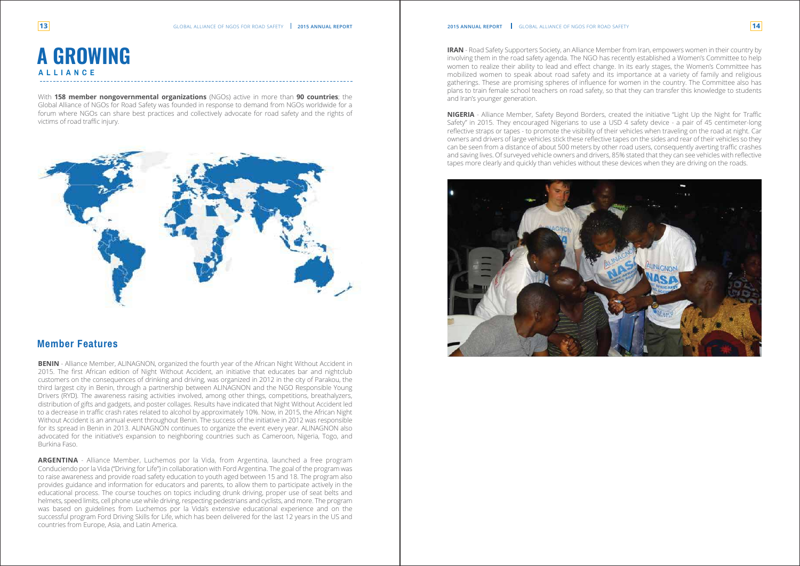### **Member Features**

# **A GROWING ALLIANCE**

With **158 member nongovernmental organizations** (NGOs) active in more than **90 countries**; the Global Alliance of NGOs for Road Safety was founded in response to demand from NGOs worldwide for a forum where NGOs can share best practices and collectively advocate for road safety and the rights of victims of road traffic injury.



**BENIN** - Alliance Member, ALINAGNON, organized the fourth year of the African Night Without Accident in 2015. The first African edition of Night Without Accident, an initiative that educates bar and nightclub customers on the consequences of drinking and driving, was organized in 2012 in the city of Parakou, the third largest city in Benin, through a partnership between ALINAGNON and the NGO Responsible Young Drivers (RYD). The awareness raising activities involved, among other things, competitions, breathalyzers, distribution of gifts and gadgets, and poster collages. Results have indicated that Night Without Accident led to a decrease in traffic crash rates related to alcohol by approximately 10%. Now, in 2015, the African Night Without Accident is an annual event throughout Benin. The success of the initiative in 2012 was responsible for its spread in Benin in 2013. ALINAGNON continues to organize the event every year. ALINAGNON also advocated for the initiative's expansion to neighboring countries such as Cameroon, Nigeria, Togo, and Burkina Faso.

**ARGENTINA** - Alliance Member, Luchemos por la Vida, from Argentina, launched a free program Conduciendo por la Vida ("Driving for Life") in collaboration with Ford Argentina. The goal of the program was to raise awareness and provide road safety education to youth aged between 15 and 18. The program also provides guidance and information for educators and parents, to allow them to participate actively in the educational process. The course touches on topics including drunk driving, proper use of seat belts and helmets, speed limits, cell phone use while driving, respecting pedestrians and cyclists, and more. The program was based on guidelines from Luchemos por la Vida's extensive educational experience and on the successful program Ford Driving Skills for Life, which has been delivered for the last 12 years in the US and countries from Europe, Asia, and Latin America.





and Iran's younger generation.

**NIGERIA** - Alliance Member, Safety Beyond Borders, created the initiative "Light Up the Night for Traffic Safety" in 2015. They encouraged Nigerians to use a USD 4 safety device - a pair of 45 centimeter-long reflective straps or tapes - to promote the visibility of their vehicles when traveling on the road at night. Car owners and drivers of large vehicles stick these reflective tapes on the sides and rear of their vehicles so they can be seen from a distance of about 500 meters by other road users, consequently averting traffic crashes and saving lives. Of surveyed vehicle owners and drivers, 85% stated that they can see vehicles with reflective tapes more clearly and quickly than vehicles without these devices when they are driving on the roads.

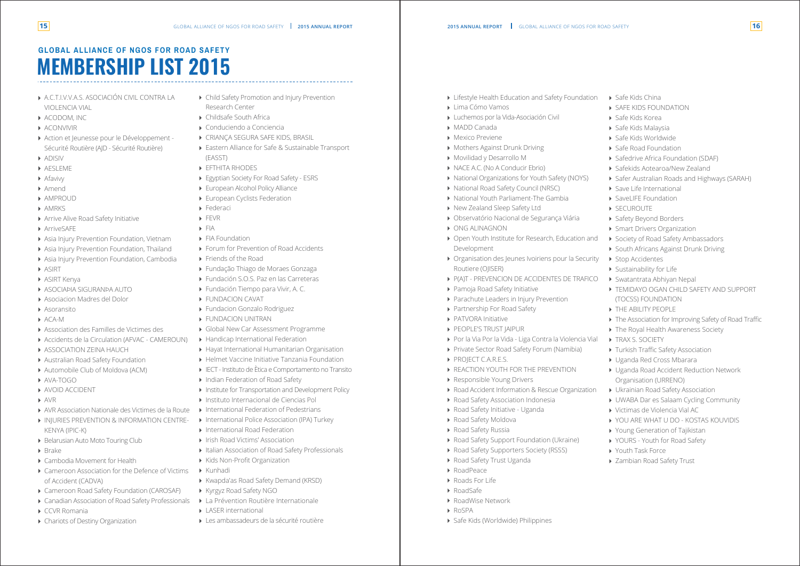# **MEMBERSHIP LIST 2015 GLOBAL ALLIANCE OF NGOS FOR ROAD SAFETY**

- A.C.T.I.V.V.A.S. ASOCIACIÓN CIVIL CONTRA LA VIOLENCIA VIAL
- ACODOM, INC
- ACONVIVIR
- Action et Jeunesse pour le Développement -Sécurité Routière (AJD - Sécurité Routière)
- ADISIV
- **AESLEME**
- **A** Afavivy
- Amend
- **AMPROUD**
- **AMRKS**
- Arrive Alive Road Safety Initiative
- **ArriveSAFE**
- Asia Injury Prevention Foundation, Vietnam
- Asia Injury Prevention Foundation, Thailand
- Asia Injury Prevention Foundation, Cambodia
- **ASIRT**
- ASIRT Kenya
- ASOCIAÞIA SIGURANÞA AUTO
- Asociacion Madres del Dolor
- Asoransito
- ACA-M
- Association des Familles de Victimes des
- Accidents de la Circulation (AFVAC CAMEROUN)
- **ASSOCIATION ZEINA HAUCH**
- Australian Road Safety Foundation
- Automobile Club of Moldova (ACM)
- AVA-TOGO
- AVOID ACCIDENT
- AVR
- 
- AVR Association Nationale des Victimes de la Route **INJURIES PREVENTION & INFORMATION CENTRE-**KENYA (IPIC-K)
- **Belarusian Auto Moto Touring Club**
- $\triangleright$  Brake
- Cambodia Movement for Health
- Cameroon Association for the Defence of Victims of Accident (CADVA)
- ▶ Cameroon Road Safety Foundation (CAROSAF)
- Canadian Association of Road Safety Professionals
- CCVR Romania
- Chariots of Destiny Organization

Por la Via Por la Vida - Liga Contra la Violencia Vial Private Sector Road Safety Forum (Namibia)

- Child Safety Promotion and Injury Prevention Research Center
- Childsafe South Africa
- Conduciendo a Conciencia
- CRIANÇA SEGURA SAFE KIDS, BRASIL
- ▶ Eastern Alliance for Safe & Sustainable Transport (EASST)
- **EFTHITA RHODES**
- Egyptian Society For Road Safety ESRS
- European Alcohol Policy Alliance
- ▶ European Cyclists Federation
- Federaci
- FFVR
- $\blacktriangleright$  FIA
- **FIA Foundation**
- Forum for Prevention of Road Accidents
- ▶ Friends of the Road
- Fundação Thiago de Moraes Gonzaga
- ▶ Fundación S.O.S. Paz en las Carreteras
- ▶ Fundación Tiempo para Vivir, A. C.
- **FUNDACION CAVAT**
- Fundacion Gonzalo Rodriguez
- **FUNDACION UNITRAN**
- Global New Car Assessment Programme
- ▶ Handicap International Federation
- Hayat International Humanitarian Organisation
- Helmet Vaccine Initiative Tanzania Foundation
- IECT Instituto de Ètica e Comportamento no Transito
- ▶ Indian Federation of Road Safety
- **Institute for Transportation and Development Policy**
- Instituto Internacional de Ciencias Pol
- International Federation of Pedestrians
- ▶ International Police Association (IPA) Turkey
- International Road Federation
- **IFISH Road Victims' Association**
- Italian Association of Road Safety Professionals
- Kids Non-Profit Organization
- Kunhadi
	- Kwapda'as Road Safety Demand (KRSD)
	- Kyrgyz Road Safety NGO
	- La Prévention Routière Internationale
	- LASER international
	- Les ambassadeurs de la sécurité routière
- **Example Health Education and Safety Foundation**
- Lima Cómo Vamos
- Luchemos por la Vida-Asociación Civil
- MADD Canada
- Mexico Previene
- Mothers Against Drunk Driving
- Movilidad y Desarrollo M
- ▶ NACE A.C. (No A Conducir Ebrio)
- ▶ National Organizations for Youth Safety (NOYS)
- ▶ National Road Safety Council (NRSC)
- National Youth Parliament-The Gambia
- ▶ New Zealand Sleep Safety Ltd

- Observatório Nacional de Segurança Viária
- ONG ALINAGNON
- ▶ Open Youth Institute for Research, Education and Development
- Organisation des Jeunes Ivoiriens pour la Security Routiere (OJISER)
- P(A)T PREVENCION DE ACCIDENTES DE TRAFICO

Pamoja Road Safety Initiative

▶ Partnership For Road Safety

Responsible Young Drivers

Road Accident Information & Rescue Organization

**REACTION YOUTH FOR THE PREVENTION** 

▶ Road Safety Support Foundation (Ukraine) ▶ Road Safety Supporters Society (RSSS)

- ▶ Safe Kids China
- SAFE KIDS FOUNDATION
- Safe Kids Korea
- Safe Kids Malaysia
- Safe Kids Worldwide
- ▶ Safe Road Foundation
- ▶ Safedrive Africa Foundation (SDAF)
- Safekids Aotearoa/New Zealand
- Safer Australian Roads and Highways (SARAH)
- ▶ Save Life International
- ▶ SaveLIFE Foundation
- ▶ SECUROUTE
- ▶ Safety Beyond Borders
- Smart Drivers Organization
- ▶ Society of Road Safety Ambassadors
- South Africans Against Drunk Driving
- ▶ Stop Accidentes
- Sustainability for Life
- Swatantrata Abhiyan Nepal
- TEMIDAYO OGAN CHILD SAFETY AND SUPPORT (TOCSS) FOUNDATION
- **THE ABILITY PEOPLE**
- ▶ The Association for Improving Safety of Road Traffic
- ▶ The Royal Health Awareness Society
- ▶ TRAX S. SOCIETY
- Turkish Traffic Safety Association
- Uganda Red Cross Mbarara
- Uganda Road Accident Reduction Network Organisation (URRENO)
- Ukrainian Road Safety Association
- UWABA Dar es Salaam Cycling Community
- Victimas de Violencia Vial AC
- YOU ARE WHAT U DO KOSTAS KOUVIDIS
- Young Generation of Tajikistan
- ▶ YOURS Youth for Road Safety
- ▶ Youth Task Force
- ▶ Zambian Road Safety Trust

Road Safety Association Indonesia Road Safety Initiative - Uganda

**PATVORA Initiative PEOPLE'S TRUST IAIPUR** 

PROJECT C.A.R.E.S.

▶ Road Safety Moldova ▶ Road Safety Russia

Road Safety Trust Uganda

▶ Safe Kids (Worldwide) Philippines

RoadPeace ▶ Roads For Life RoadSafe

RoadWise Network

▶ Parachute Leaders in Injury Prevention

RoSPA